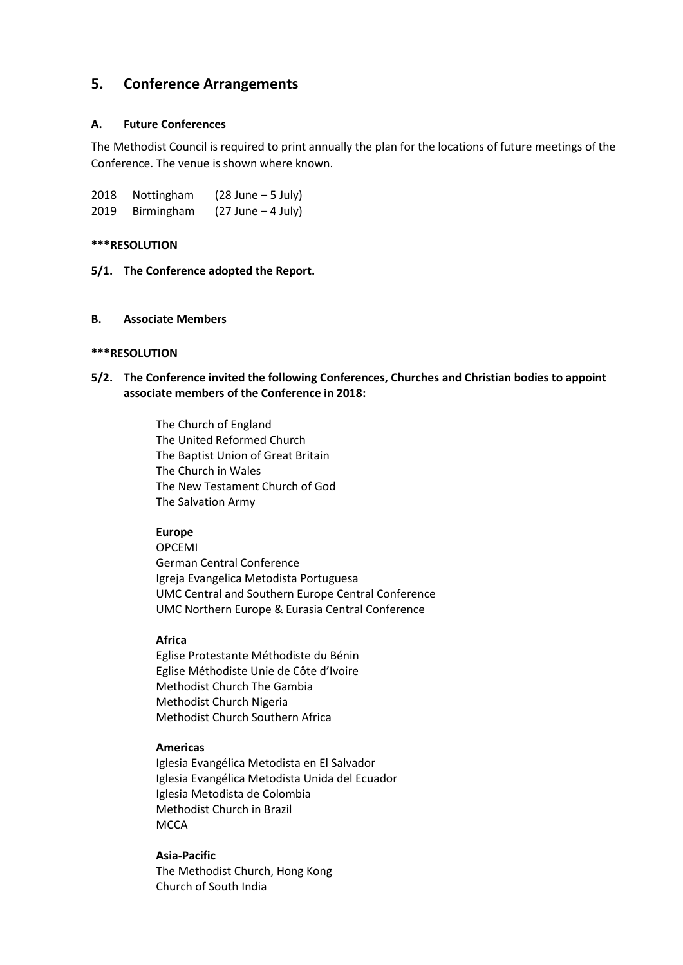# **5. Conference Arrangements**

### **A. Future Conferences**

The Methodist Council is required to print annually the plan for the locations of future meetings of the Conference. The venue is shown where known.

| 2018 | Nottingham | $(28$ June $-5$ July) |
|------|------------|-----------------------|
| 2019 | Birmingham | $(27$ June $-4$ July) |

#### **\*\*\*RESOLUTION**

**5/1. The Conference adopted the Report.**

#### **B. Associate Members**

## **\*\*\*RESOLUTION**

**5/2. The Conference invited the following Conferences, Churches and Christian bodies to appoint associate members of the Conference in 2018:**

> The Church of England The United Reformed Church The Baptist Union of Great Britain The Church in Wales The New Testament Church of God The Salvation Army

# **Europe**

OPCEMI German Central Conference Igreja Evangelica Metodista Portuguesa UMC Central and Southern Europe Central Conference UMC Northern Europe & Eurasia Central Conference

#### **Africa**

Eglise Protestante Méthodiste du Bénin Eglise Méthodiste Unie de Côte d'Ivoire Methodist Church The Gambia Methodist Church Nigeria Methodist Church Southern Africa

## **Americas**

Iglesia Evangélica Metodista en El Salvador Iglesia Evangélica Metodista Unida del Ecuador Iglesia Metodista de Colombia Methodist Church in Brazil **MCCA** 

#### **Asia-Pacific**

The Methodist Church, Hong Kong Church of South India